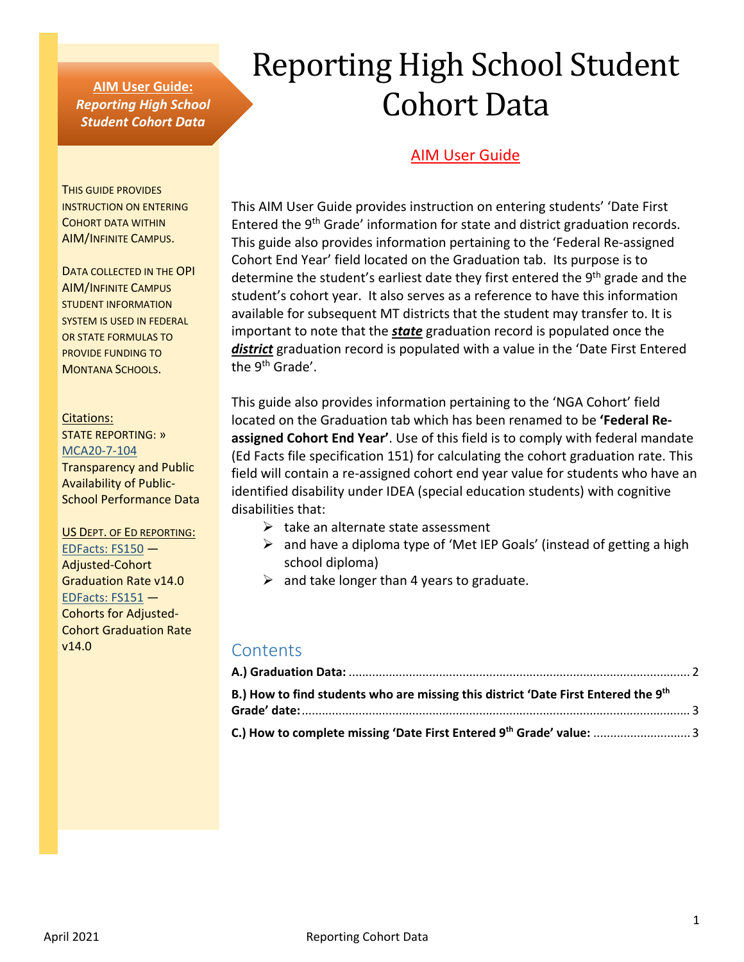### **AIM User Guide:** *Reporting High School Student Cohort Data*

# Reporting High School Student Cohort Data

## **AIM User Guide**

THIS GUIDE PROVIDES INSTRUCTION ON ENTERING COHORT DATA WITHIN AIM/INFINITE CAMPUS.

DATA COLLECTED IN THE OPI AIM/INFINITE CAMPUS STUDENT INFORMATION SYSTEM IS USED IN FEDERAL OR STATE FORMULAS TO PROVIDE FUNDING TO MONTANA SCHOOLS.

#### Citations:

STATE REPORTING: » [MCA20-7-104](https://leg.mt.gov/bills/mca/title_0200/chapter_0070/part_0010/section_0040/0200-0070-0010-0040.html) Transparency and Public Availability of Public-School Performance Data

#### US DEPT. OF ED REPORTING:

[EDFacts: FS150](https://www2.ed.gov/about/inits/ed/edfacts/eden/non-xml/fs150-14-0.docx) — Adjusted-Cohort Graduation Rate v14.0 [EDFacts: FS151](https://www2.ed.gov/about/inits/ed/edfacts/eden/non-xml/fs151-14-0.docx) — Cohorts for Adjusted-Cohort Graduation Rate v14.0

This AIM User Guide provides instruction on entering students' 'Date First Entered the 9th Grade' information for state and district graduation records. This guide also provides information pertaining to the 'Federal Re-assigned Cohort End Year' field located on the Graduation tab. Its purpose is to determine the student's earliest date they first entered the 9<sup>th</sup> grade and the student's cohort year. It also serves as a reference to have this information available for subsequent MT districts that the student may transfer to. It is important to note that the *state* graduation record is populated once the *district* graduation record is populated with a value in the 'Date First Entered the 9<sup>th</sup> Grade'.

This guide also provides information pertaining to the 'NGA Cohort' field located on the Graduation tab which has been renamed to be **'Federal Reassigned Cohort End Year'**. Use of this field is to comply with federal mandate (Ed Facts file specification 151) for calculating the cohort graduation rate. This field will contain a re-assigned cohort end year value for students who have an identified disability under IDEA (special education students) with cognitive disabilities that:

- $\triangleright$  take an alternate state assessment
- $\triangleright$  and have a diploma type of 'Met IEP Goals' (instead of getting a high school diploma)
- $\triangleright$  and take longer than 4 years to graduate.

# **Contents**

| B.) How to find students who are missing this district 'Date First Entered the 9th |  |
|------------------------------------------------------------------------------------|--|
|                                                                                    |  |
|                                                                                    |  |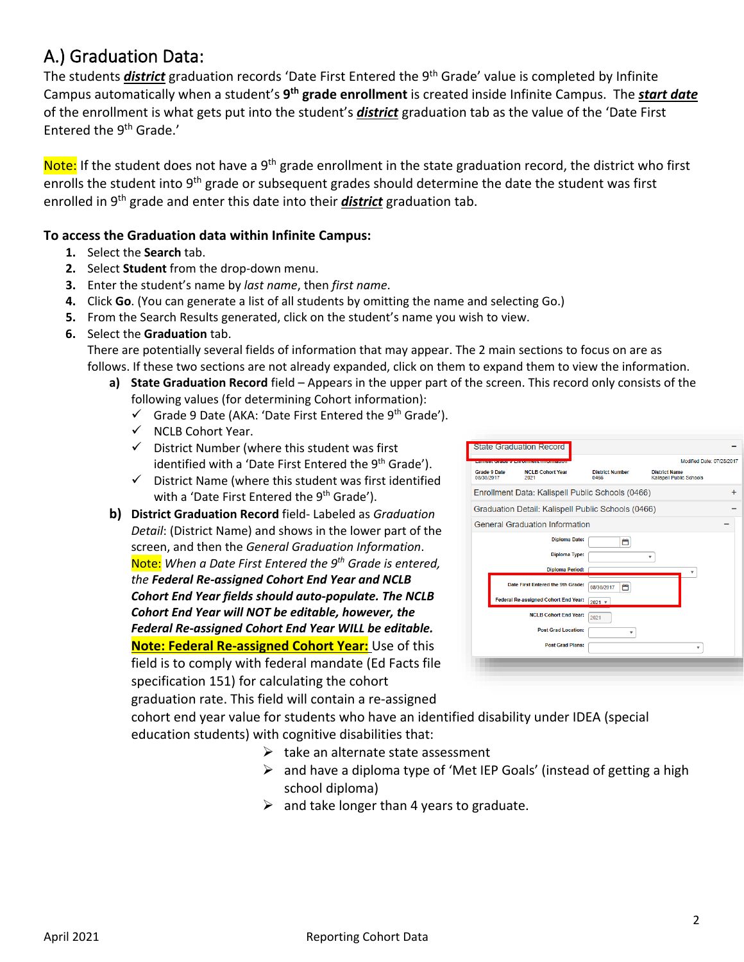# <span id="page-1-0"></span>A.) Graduation Data:

The students *district* graduation records 'Date First Entered the 9th Grade' value is completed by Infinite Campus automatically when a student's **9th grade enrollment** is created inside Infinite Campus. The *start date* of the enrollment is what gets put into the student's *district* graduation tab as the value of the 'Date First Entered the 9th Grade.'

Note: If the student does not have a 9<sup>th</sup> grade enrollment in the state graduation record, the district who first enrolls the student into 9<sup>th</sup> grade or subsequent grades should determine the date the student was first enrolled in 9th grade and enter this date into their *district* graduation tab.

#### **To access the Graduation data within Infinite Campus:**

- **1.** Select the **Search** tab.
- **2.** Select **Student** from the drop-down menu.
- **3.** Enter the student's name by *last name*, then *first name*.
- **4.** Click **Go**. (You can generate a list of all students by omitting the name and selecting Go.)
- **5.** From the Search Results generated, click on the student's name you wish to view.
- **6.** Select the **Graduation** tab.

There are potentially several fields of information that may appear. The 2 main sections to focus on are as follows. If these two sections are not already expanded, click on them to expand them to view the information.

- **a) State Graduation Record** field Appears in the upper part of the screen. This record only consists of the following values (for determining Cohort information):
	- $\checkmark$  Grade 9 Date (AKA: 'Date First Entered the 9<sup>th</sup> Grade').
	- $\checkmark$  NCLB Cohort Year.
	- $\checkmark$  District Number (where this student was first identified with a 'Date First Entered the 9<sup>th</sup> Grade').
	- $\checkmark$  District Name (where this student was first identified with a 'Date First Entered the 9<sup>th</sup> Grade').
- **b) District Graduation Record** field- Labeled as *Graduation Detail*: (District Name) and shows in the lower part of the screen, and then the *General Graduation Information*. Note: *When a Date First Entered the 9th Grade is entered, the Federal Re-assigned Cohort End Year and NCLB Cohort End Year fields should auto-populate. The NCLB Cohort End Year will NOT be editable, however, the Federal Re-assigned Cohort End Year WILL be editable.* **Note: Federal Re-assigned Cohort Year:** Use of this field is to comply with federal mandate (Ed Facts file specification 151) for calculating the cohort

|            |              | <b>State Graduation Record</b>                                                                                 |                                                    |                                                         |                           |
|------------|--------------|----------------------------------------------------------------------------------------------------------------|----------------------------------------------------|---------------------------------------------------------|---------------------------|
|            |              | CONTRACTOR DE CONSTANTINO DE LA PRODUCTIVITA DE LA CARDINALE DE LA CARDINALE DE LA CARDINALE DE LA CARDINALE D |                                                    |                                                         | Modified Date: 07/28/2017 |
| 08/30/2017 | Grade 9 Date | <b>NCLB Cohort Year</b><br>2021                                                                                | <b>District Number</b><br>0466                     | <b>District Name</b><br><b>Kalispell Public Schools</b> |                           |
|            |              | Enrollment Data: Kalispell Public Schools (0466)                                                               |                                                    |                                                         | $\div$                    |
|            |              |                                                                                                                | Graduation Detail: Kalispell Public Schools (0466) |                                                         |                           |
|            |              | <b>General Graduation Information</b>                                                                          |                                                    |                                                         |                           |
|            |              | <b>Diploma Date:</b>                                                                                           | ۳                                                  |                                                         |                           |
|            |              | <b>Diploma Type:</b>                                                                                           | ۳                                                  |                                                         |                           |
|            |              | <b>Diploma Period:</b>                                                                                         |                                                    |                                                         | ٠                         |
|            |              | Date First Entered the 9th Grade:                                                                              | المناو<br>08/30/2017                               |                                                         |                           |
|            |              | Federal Re-assigned Cohort End Year:                                                                           | $2021$ $\sqrt{ }$                                  |                                                         |                           |
|            |              | <b>NCLB Cohort End Year:</b>                                                                                   | 2021                                               |                                                         |                           |
|            |              | <b>Post Grad Location:</b>                                                                                     | ٠                                                  |                                                         |                           |
|            |              | <b>Post Grad Plans:</b>                                                                                        |                                                    |                                                         | ۰                         |
|            |              |                                                                                                                |                                                    |                                                         |                           |
|            |              |                                                                                                                |                                                    |                                                         |                           |

graduation rate. This field will contain a re-assigned cohort end year value for students who have an identified disability under IDEA (special education students) with cognitive disabilities that:

- $\triangleright$  take an alternate state assessment
- $\triangleright$  and have a diploma type of 'Met IEP Goals' (instead of getting a high school diploma)
- $\triangleright$  and take longer than 4 years to graduate.